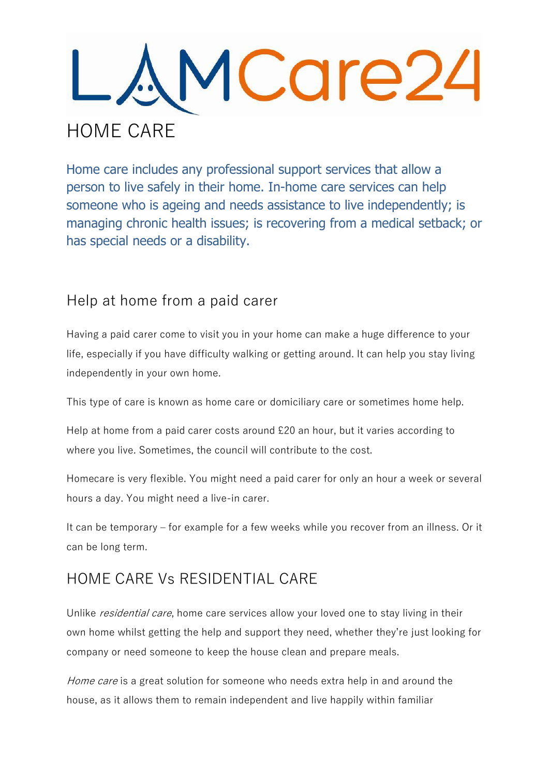

Home care includes any professional support services that allow a person to live safely in their home. In-home care services can help someone who is ageing and needs assistance to live independently; is managing chronic health issues; is recovering from a medical setback; or has special needs or a disability.

## Help at home from a paid carer

Having a paid carer come to visit you in your home can make a huge difference to your life, especially if you have difficulty walking or getting around. It can help you stay living independently in your own home.

This type of care is known as home care or domiciliary care or sometimes home help.

Help at home from a paid carer costs around £20 an hour, but it varies according to where you live. Sometimes, the council will contribute to the cost.

Homecare is very flexible. You might need a paid carer for only an hour a week or several hours a day. You might need a live-in carer.

It can be temporary – for example for a few weeks while you recover from an illness. Or it can be long term.

## HOME CARE Vs RESIDENTIAL CARE

Unlike *residential care*, home care services allow your loved one to stay living in their own home whilst getting the help and support they need, whether they're just looking for company or need someone to keep the house clean and prepare meals.

Home care is a great solution for someone who needs extra help in and around the house, as it allows them to remain independent and live happily within familiar